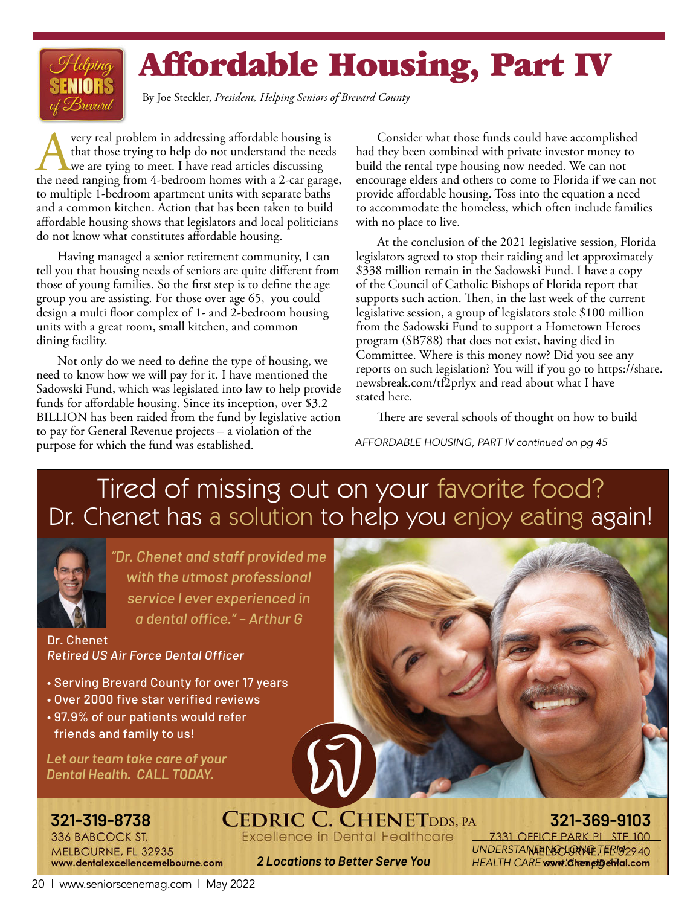# Affordable Housing, Part IV

By Joe Steckler, *President, Helping Seniors of Brevard County*

Avery real problem in addressing affordable housing is the need ranging from 4-bedroom homes with a 2-car garage, that those trying to help do not understand the needs we are tying to meet. I have read articles discussing to multiple 1-bedroom apartment units with separate baths and a common kitchen. Action that has been taken to build affordable housing shows that legislators and local politicians do not know what constitutes affordable housing.

Having managed a senior retirement community, I can tell you that housing needs of seniors are quite different from those of young families. So the first step is to define the age group you are assisting. For those over age 65, you could design a multi floor complex of 1- and 2-bedroom housing units with a great room, small kitchen, and common dining facility.

Not only do we need to define the type of housing, we need to know how we will pay for it. I have mentioned the Sadowski Fund, which was legislated into law to help provide funds for affordable housing. Since its inception, over \$3.2 BILLION has been raided from the fund by legislative action to pay for General Revenue projects – a violation of the purpose for which the fund was established.

Consider what those funds could have accomplished had they been combined with private investor money to build the rental type housing now needed. We can not encourage elders and others to come to Florida if we can not provide affordable housing. Toss into the equation a need to accommodate the homeless, which often include families with no place to live.

At the conclusion of the 2021 legislative session, Florida legislators agreed to stop their raiding and let approximately \$338 million remain in the Sadowski Fund. I have a copy of the Council of Catholic Bishops of Florida report that supports such action. Then, in the last week of the current legislative session, a group of legislators stole \$100 million from the Sadowski Fund to support a Hometown Heroes program (SB788) that does not exist, having died in Committee. Where is this money now? Did you see any reports on such legislation? You will if you go to https://share. newsbreak.com/tf2prlyx and read about what I have stated here.

There are several schools of thought on how to build

*AFFORDABLE HOUSING, PART IV continued on pg 45*

### Tired of missing out on your favorite food? Dr. Chenet has a solution to help you enjoy eating again!



*"Dr. Chenet and staff provided me with the utmost professional service I ever experienced in a dental office." – Arthur G*

Dr. Chenet *Retired US Air Force Dental Officer*

- Serving Brevard County for over 17 years
- Over 2000 five star verified reviews
- 97.9% of our patients would refer friends and family to us!

*Let our team take care of your Dental Health. CALL TODAY.*

336 BABCOCK ST, MELBOURNE, FL 32935 www.dentalexcellencemelbourne.com

**321-319-8738 321-369-9103 Excellence in Dental Healthcare** 

**7331 OFFICE PARK PL. STE** UNDERSTANDING LORNG TERM 2940 HEALTH CARE wormt'dhamethethal.com

*2 Locations to Better Serve You*